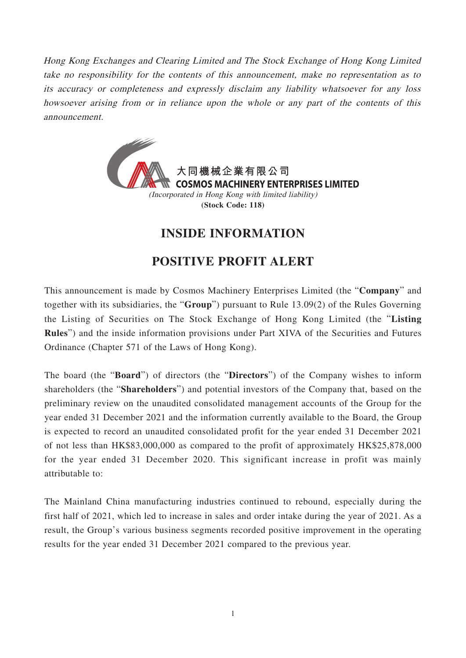Hong Kong Exchanges and Clearing Limited and The Stock Exchange of Hong Kong Limited take no responsibility for the contents of this announcement, make no representation as to its accuracy or completeness and expressly disclaim any liability whatsoever for any loss howsoever arising from or in reliance upon the whole or any part of the contents of this announcement.



## **INSIDE INFORMATION**

## **POSITIVE PROFIT ALERT**

This announcement is made by Cosmos Machinery Enterprises Limited (the "**Company**" and together with its subsidiaries, the "**Group**") pursuant to Rule 13.09(2) of the Rules Governing the Listing of Securities on The Stock Exchange of Hong Kong Limited (the "**Listing Rules**") and the inside information provisions under Part XIVA of the Securities and Futures Ordinance (Chapter 571 of the Laws of Hong Kong).

The board (the "**Board**") of directors (the "**Directors**") of the Company wishes to inform shareholders (the "**Shareholders**") and potential investors of the Company that, based on the preliminary review on the unaudited consolidated management accounts of the Group for the year ended 31 December 2021 and the information currently available to the Board, the Group is expected to record an unaudited consolidated profit for the year ended 31 December 2021 of not less than HK\$83,000,000 as compared to the profit of approximately HK\$25,878,000 for the year ended 31 December 2020. This significant increase in profit was mainly attributable to:

The Mainland China manufacturing industries continued to rebound, especially during the first half of 2021, which led to increase in sales and order intake during the year of 2021. As a result, the Group's various business segments recorded positive improvement in the operating results for the year ended 31 December 2021 compared to the previous year.